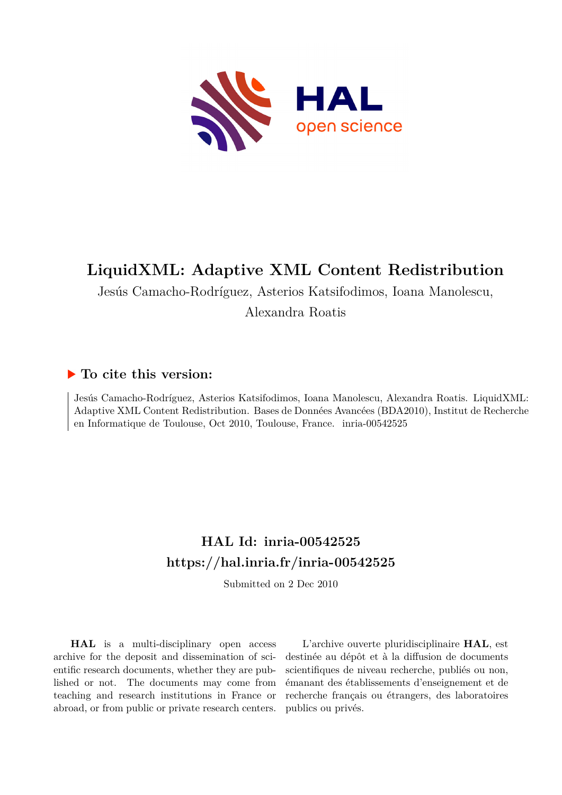

## **LiquidXML: Adaptive XML Content Redistribution**

Jesús Camacho-Rodríguez, Asterios Katsifodimos, Ioana Manolescu,

Alexandra Roatis

### **To cite this version:**

Jesús Camacho-Rodríguez, Asterios Katsifodimos, Ioana Manolescu, Alexandra Roatis. LiquidXML: Adaptive XML Content Redistribution. Bases de Données Avancées (BDA2010), Institut de Recherche en Informatique de Toulouse, Oct 2010, Toulouse, France. inria-00542525

## **HAL Id: inria-00542525 <https://hal.inria.fr/inria-00542525>**

Submitted on 2 Dec 2010

**HAL** is a multi-disciplinary open access archive for the deposit and dissemination of scientific research documents, whether they are published or not. The documents may come from teaching and research institutions in France or abroad, or from public or private research centers.

L'archive ouverte pluridisciplinaire **HAL**, est destinée au dépôt et à la diffusion de documents scientifiques de niveau recherche, publiés ou non, émanant des établissements d'enseignement et de recherche français ou étrangers, des laboratoires publics ou privés.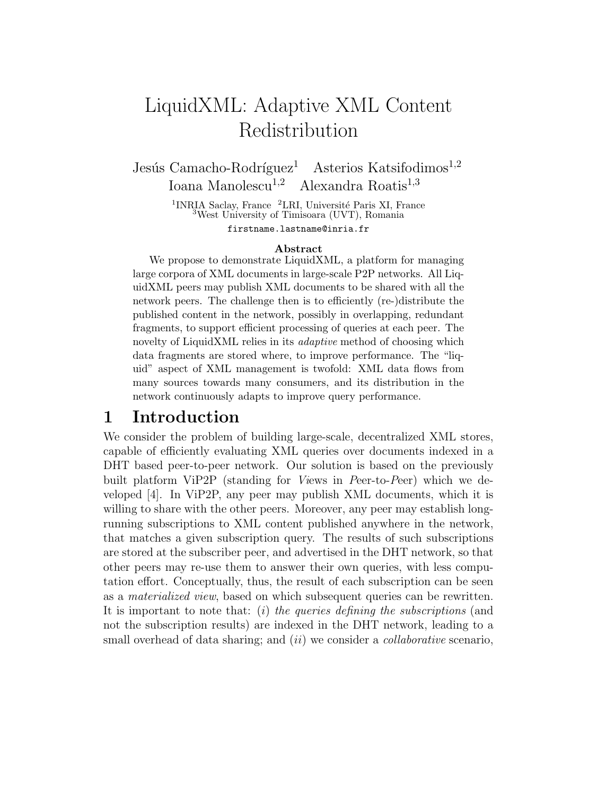# LiquidXML: Adaptive XML Content Redistribution

Jesús Camacho-Rodríguez<sup>1</sup> Asterios Katsifodimos<sup>1,2</sup> Ioana Manolescu<sup>1,2</sup> Alexandra Roatis<sup>1,3</sup>

> <sup>1</sup>INRIA Saclay, France <sup>2</sup>LRI, Université Paris XI, France  $3West$  University of Timisoara (UVT), Romania

firstname.lastname@inria.fr

#### Abstract

We propose to demonstrate LiquidXML, a platform for managing large corpora of XML documents in large-scale P2P networks. All LiquidXML peers may publish XML documents to be shared with all the network peers. The challenge then is to efficiently (re-)distribute the published content in the network, possibly in overlapping, redundant fragments, to support efficient processing of queries at each peer. The novelty of LiquidXML relies in its *adaptive* method of choosing which data fragments are stored where, to improve performance. The "liquid" aspect of XML management is twofold: XML data flows from many sources towards many consumers, and its distribution in the network continuously adapts to improve query performance.

### 1 Introduction

We consider the problem of building large-scale, decentralized XML stores, capable of efficiently evaluating XML queries over documents indexed in a DHT based peer-to-peer network. Our solution is based on the previously built platform ViP2P (standing for Views in Peer-to-Peer) which we developed [4]. In ViP2P, any peer may publish XML documents, which it is willing to share with the other peers. Moreover, any peer may establish longrunning subscriptions to XML content published anywhere in the network, that matches a given subscription query. The results of such subscriptions are stored at the subscriber peer, and advertised in the DHT network, so that other peers may re-use them to answer their own queries, with less computation effort. Conceptually, thus, the result of each subscription can be seen as a materialized view, based on which subsequent queries can be rewritten. It is important to note that: (i) the queries defining the subscriptions (and not the subscription results) are indexed in the DHT network, leading to a small overhead of data sharing; and *(ii)* we consider a *collaborative* scenario,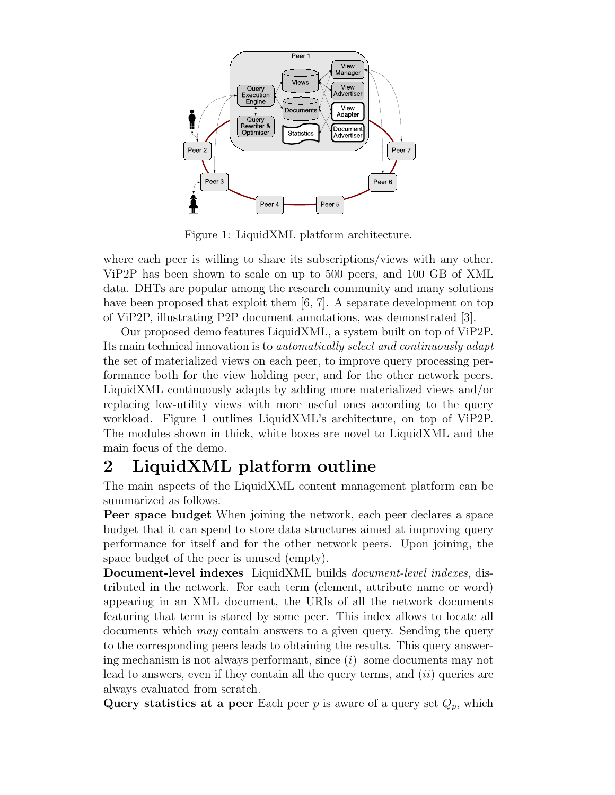

Figure 1: LiquidXML platform architecture.

where each peer is willing to share its subscriptions/views with any other. ViP2P has been shown to scale on up to 500 peers, and 100 GB of XML data. DHTs are popular among the research community and many solutions have been proposed that exploit them [6, 7]. A separate development on top of ViP2P, illustrating P2P document annotations, was demonstrated [3].

Our proposed demo features LiquidXML, a system built on top of ViP2P. Its main technical innovation is to automatically select and continuously adapt the set of materialized views on each peer, to improve query processing performance both for the view holding peer, and for the other network peers. LiquidXML continuously adapts by adding more materialized views and/or replacing low-utility views with more useful ones according to the query workload. Figure 1 outlines LiquidXML's architecture, on top of ViP2P. The modules shown in thick, white boxes are novel to LiquidXML and the main focus of the demo.

## 2 LiquidXML platform outline

The main aspects of the LiquidXML content management platform can be summarized as follows.

Peer space budget When joining the network, each peer declares a space budget that it can spend to store data structures aimed at improving query performance for itself and for the other network peers. Upon joining, the space budget of the peer is unused (empty).

Document-level indexes LiquidXML builds document-level indexes, distributed in the network. For each term (element, attribute name or word) appearing in an XML document, the URIs of all the network documents featuring that term is stored by some peer. This index allows to locate all documents which may contain answers to a given query. Sending the query to the corresponding peers leads to obtaining the results. This query answering mechanism is not always performant, since  $(i)$  some documents may not lead to answers, even if they contain all the query terms, and  $(ii)$  queries are always evaluated from scratch.

Query statistics at a peer Each peer  $p$  is aware of a query set  $Q_p$ , which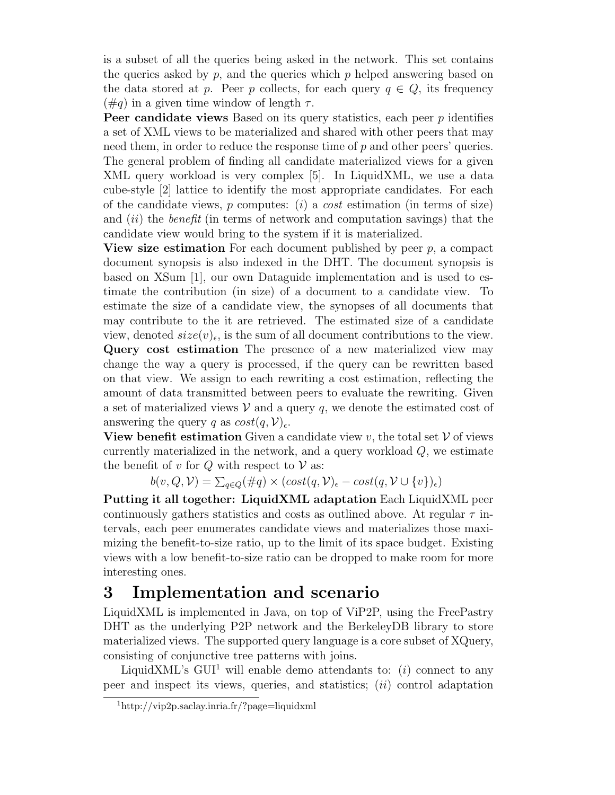is a subset of all the queries being asked in the network. This set contains the queries asked by  $p$ , and the queries which  $p$  helped answering based on the data stored at p. Peer p collects, for each query  $q \in Q$ , its frequency  $(\text{H}q)$  in a given time window of length  $\tau$ .

Peer candidate views Based on its query statistics, each peer p identifies a set of XML views to be materialized and shared with other peers that may need them, in order to reduce the response time of  $p$  and other peers' queries. The general problem of finding all candidate materialized views for a given XML query workload is very complex [5]. In LiquidXML, we use a data cube-style [2] lattice to identify the most appropriate candidates. For each of the candidate views, p computes:  $(i)$  a *cost* estimation (in terms of size) and  $(ii)$  the *benefit* (in terms of network and computation savings) that the candidate view would bring to the system if it is materialized.

**View size estimation** For each document published by peer  $p$ , a compact document synopsis is also indexed in the DHT. The document synopsis is based on XSum [1], our own Dataguide implementation and is used to estimate the contribution (in size) of a document to a candidate view. To estimate the size of a candidate view, the synopses of all documents that may contribute to the it are retrieved. The estimated size of a candidate view, denoted  $size(v)_{\epsilon}$ , is the sum of all document contributions to the view. Query cost estimation The presence of a new materialized view may change the way a query is processed, if the query can be rewritten based on that view. We assign to each rewriting a cost estimation, reflecting the amount of data transmitted between peers to evaluate the rewriting. Given a set of materialized views  $V$  and a query q, we denote the estimated cost of answering the query q as  $cost(q, V)_{\epsilon}$ .

**View benefit estimation** Given a candidate view v, the total set  $V$  of views currently materialized in the network, and a query workload  $Q$ , we estimate the benefit of  $v$  for  $Q$  with respect to  $V$  as:

 $b(v, Q, V) = \sum_{q \in Q} (\#q) \times (cost(q, V)_{\epsilon} - cost(q, V \cup \{v\})_{\epsilon})$ 

Putting it all together: LiquidXML adaptation Each LiquidXML peer continuously gathers statistics and costs as outlined above. At regular  $\tau$  intervals, each peer enumerates candidate views and materializes those maximizing the benefit-to-size ratio, up to the limit of its space budget. Existing views with a low benefit-to-size ratio can be dropped to make room for more interesting ones.

### 3 Implementation and scenario

LiquidXML is implemented in Java, on top of ViP2P, using the FreePastry DHT as the underlying P2P network and the BerkeleyDB library to store materialized views. The supported query language is a core subset of XQuery, consisting of conjunctive tree patterns with joins.

LiquidXML's GUI<sup>1</sup> will enable demo attendants to: (i) connect to any peer and inspect its views, queries, and statistics;  $(ii)$  control adaptation

<sup>1</sup>http://vip2p.saclay.inria.fr/?page=liquidxml